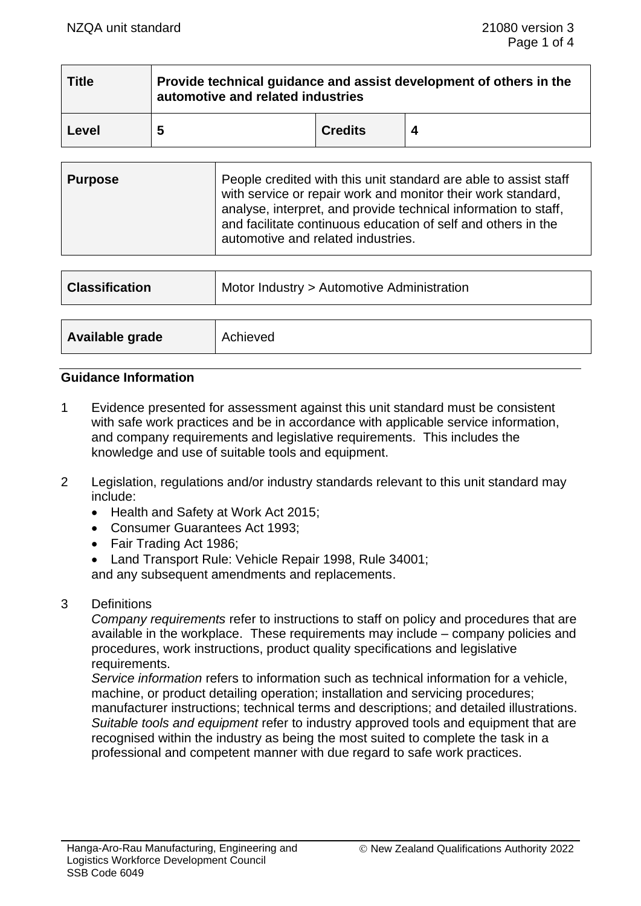| <b>Title</b> | Provide technical guidance and assist development of others in the<br>automotive and related industries |                |  |  |
|--------------|---------------------------------------------------------------------------------------------------------|----------------|--|--|
| Level        | 5                                                                                                       | <b>Credits</b> |  |  |

| <b>Purpose</b> | People credited with this unit standard are able to assist staff<br>with service or repair work and monitor their work standard,<br>analyse, interpret, and provide technical information to staff,<br>and facilitate continuous education of self and others in the<br>automotive and related industries. |
|----------------|------------------------------------------------------------------------------------------------------------------------------------------------------------------------------------------------------------------------------------------------------------------------------------------------------------|
|----------------|------------------------------------------------------------------------------------------------------------------------------------------------------------------------------------------------------------------------------------------------------------------------------------------------------------|

| <b>Classification</b> | Motor Industry > Automotive Administration |  |
|-----------------------|--------------------------------------------|--|
| Available grade       | Achieved                                   |  |

### **Guidance Information**

- 1 Evidence presented for assessment against this unit standard must be consistent with safe work practices and be in accordance with applicable service information, and company requirements and legislative requirements. This includes the knowledge and use of suitable tools and equipment.
- 2 Legislation, regulations and/or industry standards relevant to this unit standard may include:
	- Health and Safety at Work Act 2015;
	- Consumer Guarantees Act 1993;
	- Fair Trading Act 1986;
	- Land Transport Rule: Vehicle Repair 1998, Rule 34001; and any subsequent amendments and replacements.
- 3 Definitions

*Company requirements* refer to instructions to staff on policy and procedures that are available in the workplace. These requirements may include – company policies and procedures, work instructions, product quality specifications and legislative requirements.

*Service information* refers to information such as technical information for a vehicle, machine, or product detailing operation; installation and servicing procedures; manufacturer instructions; technical terms and descriptions; and detailed illustrations. *Suitable tools and equipment* refer to industry approved tools and equipment that are recognised within the industry as being the most suited to complete the task in a professional and competent manner with due regard to safe work practices.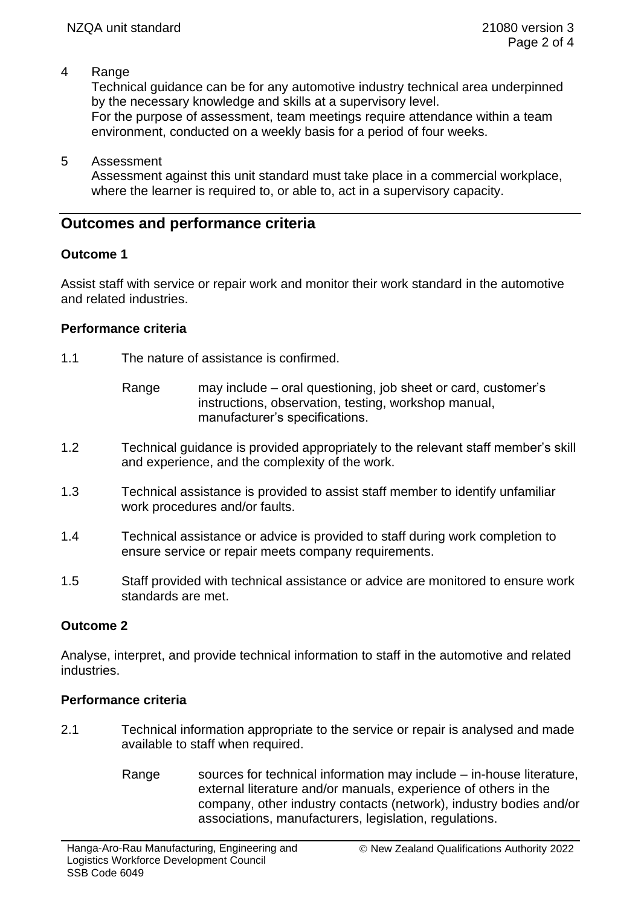## 4 Range

Technical guidance can be for any automotive industry technical area underpinned by the necessary knowledge and skills at a supervisory level.

For the purpose of assessment, team meetings require attendance within a team environment, conducted on a weekly basis for a period of four weeks.

### 5 Assessment

Assessment against this unit standard must take place in a commercial workplace, where the learner is required to, or able to, act in a supervisory capacity.

# **Outcomes and performance criteria**

## **Outcome 1**

Assist staff with service or repair work and monitor their work standard in the automotive and related industries.

### **Performance criteria**

- 1.1 The nature of assistance is confirmed.
	- Range may include oral questioning, job sheet or card, customer's instructions, observation, testing, workshop manual, manufacturer's specifications.
- 1.2 Technical guidance is provided appropriately to the relevant staff member's skill and experience, and the complexity of the work.
- 1.3 Technical assistance is provided to assist staff member to identify unfamiliar work procedures and/or faults.
- 1.4 Technical assistance or advice is provided to staff during work completion to ensure service or repair meets company requirements.
- 1.5 Staff provided with technical assistance or advice are monitored to ensure work standards are met.

## **Outcome 2**

Analyse, interpret, and provide technical information to staff in the automotive and related **industries** 

### **Performance criteria**

- 2.1 Technical information appropriate to the service or repair is analysed and made available to staff when required.
	- Range sources for technical information may include in-house literature, external literature and/or manuals, experience of others in the company, other industry contacts (network), industry bodies and/or associations, manufacturers, legislation, regulations.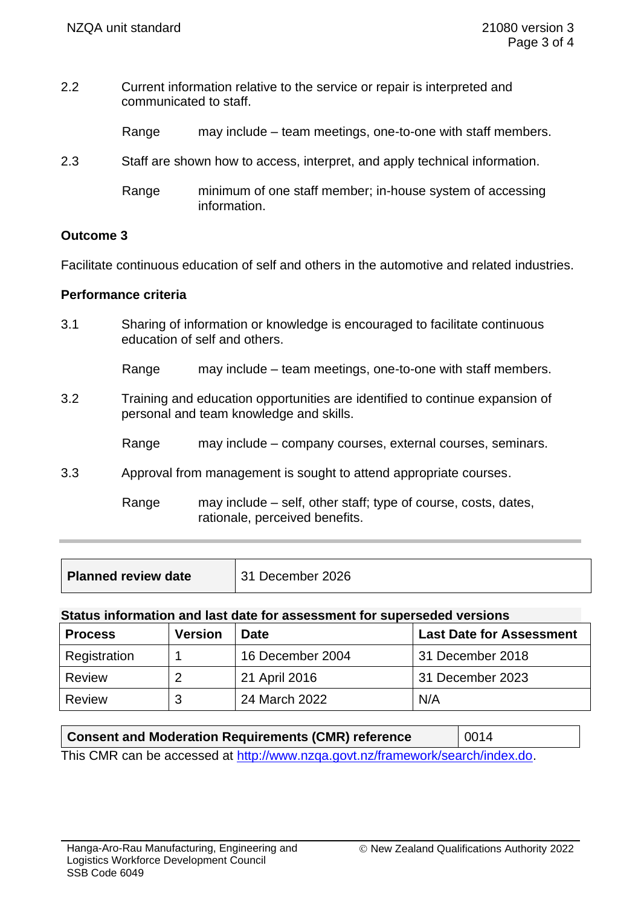- 2.2 Current information relative to the service or repair is interpreted and communicated to staff.
	- Range may include team meetings, one-to-one with staff members.
- 2.3 Staff are shown how to access, interpret, and apply technical information.
	- Range minimum of one staff member; in-house system of accessing information.

### **Outcome 3**

Facilitate continuous education of self and others in the automotive and related industries.

### **Performance criteria**

3.1 Sharing of information or knowledge is encouraged to facilitate continuous education of self and others.

Range may include – team meetings, one-to-one with staff members.

- 3.2 Training and education opportunities are identified to continue expansion of personal and team knowledge and skills.
	- Range may include company courses, external courses, seminars.
- 3.3 Approval from management is sought to attend appropriate courses.

Range may include – self, other staff; type of course, costs, dates, rationale, perceived benefits.

| <b>Planned review date</b> | 31 December 2026 |
|----------------------------|------------------|
|                            |                  |

#### **Status information and last date for assessment for superseded versions**

| <b>Process</b> | <b>Version</b> | <b>Date</b>      | <b>Last Date for Assessment</b> |
|----------------|----------------|------------------|---------------------------------|
| Registration   |                | 16 December 2004 | 31 December 2018                |
| Review         |                | 21 April 2016    | 31 December 2023                |
| Review         | З              | 24 March 2022    | N/A                             |

| <b>Consent and Moderation Requirements (CMR) reference</b>                     | $\vert$ 0014 |  |  |  |
|--------------------------------------------------------------------------------|--------------|--|--|--|
| This CMR can be accessed at http://www.nzga.govt.nz/framework/search/index.do. |              |  |  |  |